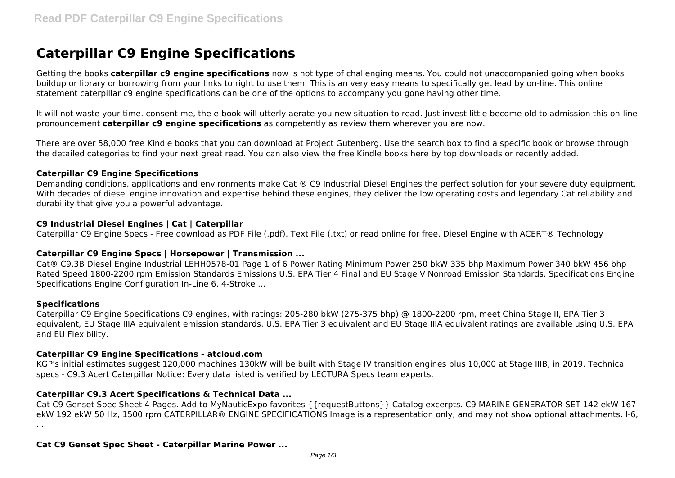# **Caterpillar C9 Engine Specifications**

Getting the books **caterpillar c9 engine specifications** now is not type of challenging means. You could not unaccompanied going when books buildup or library or borrowing from your links to right to use them. This is an very easy means to specifically get lead by on-line. This online statement caterpillar c9 engine specifications can be one of the options to accompany you gone having other time.

It will not waste your time. consent me, the e-book will utterly aerate you new situation to read. Just invest little become old to admission this on-line pronouncement **caterpillar c9 engine specifications** as competently as review them wherever you are now.

There are over 58,000 free Kindle books that you can download at Project Gutenberg. Use the search box to find a specific book or browse through the detailed categories to find your next great read. You can also view the free Kindle books here by top downloads or recently added.

#### **Caterpillar C9 Engine Specifications**

Demanding conditions, applications and environments make Cat ® C9 Industrial Diesel Engines the perfect solution for your severe duty equipment. With decades of diesel engine innovation and expertise behind these engines, they deliver the low operating costs and legendary Cat reliability and durability that give you a powerful advantage.

## **C9 Industrial Diesel Engines | Cat | Caterpillar**

Caterpillar C9 Engine Specs - Free download as PDF File (.pdf), Text File (.txt) or read online for free. Diesel Engine with ACERT® Technology

#### **Caterpillar C9 Engine Specs | Horsepower | Transmission ...**

Cat® C9.3B Diesel Engine Industrial LEHH0578-01 Page 1 of 6 Power Rating Minimum Power 250 bkW 335 bhp Maximum Power 340 bkW 456 bhp Rated Speed 1800-2200 rpm Emission Standards Emissions U.S. EPA Tier 4 Final and EU Stage V Nonroad Emission Standards. Specifications Engine Specifications Engine Configuration In-Line 6, 4-Stroke ...

#### **Specifications**

Caterpillar C9 Engine Specifications C9 engines, with ratings: 205-280 bkW (275-375 bhp) @ 1800-2200 rpm, meet China Stage II, EPA Tier 3 equivalent, EU Stage IIIA equivalent emission standards, U.S. EPA Tier 3 equivalent and EU Stage IIIA equivalent ratings are available using U.S. EPA and EU Flexibility.

#### **Caterpillar C9 Engine Specifications - atcloud.com**

KGP's initial estimates suggest 120,000 machines 130kW will be built with Stage IV transition engines plus 10,000 at Stage IIIB, in 2019. Technical specs - C9.3 Acert Caterpillar Notice: Every data listed is verified by LECTURA Specs team experts.

## **Caterpillar C9.3 Acert Specifications & Technical Data ...**

Cat C9 Genset Spec Sheet 4 Pages. Add to MyNauticExpo favorites {{requestButtons}} Catalog excerpts. C9 MARINE GENERATOR SET 142 ekW 167 ekW 192 ekW 50 Hz, 1500 rpm CATERPILLAR® ENGINE SPECIFICATIONS Image is a representation only, and may not show optional attachments. I-6, ...

## **Cat C9 Genset Spec Sheet - Caterpillar Marine Power ...**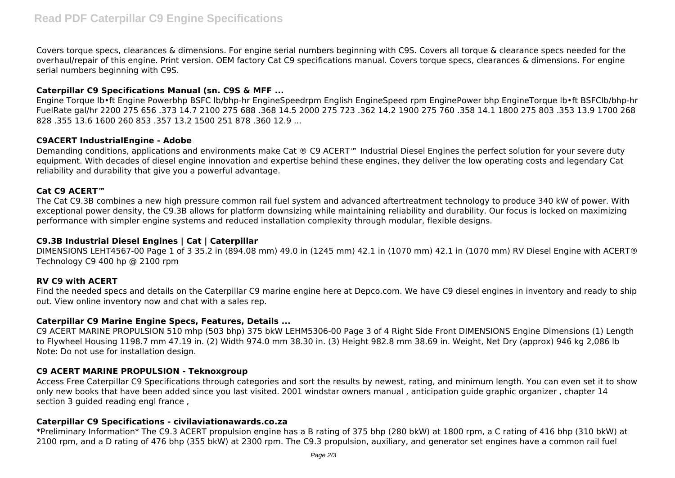Covers torque specs, clearances & dimensions. For engine serial numbers beginning with C9S. Covers all torque & clearance specs needed for the overhaul/repair of this engine. Print version. OEM factory Cat C9 specifications manual. Covers torque specs, clearances & dimensions. For engine serial numbers beginning with C9S.

## **Caterpillar C9 Specifications Manual (sn. C9S & MFF ...**

Engine Torque lb•ft Engine Powerbhp BSFC lb/bhp-hr EngineSpeedrpm English EngineSpeed rpm EnginePower bhp EngineTorque lb•ft BSFClb/bhp-hr FuelRate gal/hr 2200 275 656. 373 14.7 2100 275 688 .368 14.5 2000 275 723 .362 14.2 1900 275 760 .358 14.1 1800 275 803 .353 13.9 1700 268 828 .355 13.6 1600 260 853 .357 13.2 1500 251 878 .360 12.9 ...

#### **C9ACERT IndustrialEngine - Adobe**

Demanding conditions, applications and environments make Cat ® C9 ACERT™ Industrial Diesel Engines the perfect solution for your severe duty equipment. With decades of diesel engine innovation and expertise behind these engines, they deliver the low operating costs and legendary Cat reliability and durability that give you a powerful advantage.

### **Cat C9 ACERT™**

The Cat C9.3B combines a new high pressure common rail fuel system and advanced aftertreatment technology to produce 340 kW of power. With exceptional power density, the C9.3B allows for platform downsizing while maintaining reliability and durability. Our focus is locked on maximizing performance with simpler engine systems and reduced installation complexity through modular, flexible designs.

#### **C9.3B Industrial Diesel Engines | Cat | Caterpillar**

DIMENSIONS LEHT4567-00 Page 1 of 3 35.2 in (894.08 mm) 49.0 in (1245 mm) 42.1 in (1070 mm) 42.1 in (1070 mm) RV Diesel Engine with ACERT® Technology C9 400 hp @ 2100 rpm

#### **RV C9 with ACERT**

Find the needed specs and details on the Caterpillar C9 marine engine here at Depco.com. We have C9 diesel engines in inventory and ready to ship out. View online inventory now and chat with a sales rep.

#### **Caterpillar C9 Marine Engine Specs, Features, Details ...**

C9 ACERT MARINE PROPULSION 510 mhp (503 bhp) 375 bkW LEHM5306-00 Page 3 of 4 Right Side Front DIMENSIONS Engine Dimensions (1) Length to Flywheel Housing 1198.7 mm 47.19 in. (2) Width 974.0 mm 38.30 in. (3) Height 982.8 mm 38.69 in. Weight, Net Dry (approx) 946 kg 2,086 lb Note: Do not use for installation design.

### **C9 ACERT MARINE PROPULSION - Teknoxgroup**

Access Free Caterpillar C9 Specifications through categories and sort the results by newest, rating, and minimum length. You can even set it to show only new books that have been added since you last visited. 2001 windstar owners manual , anticipation guide graphic organizer , chapter 14 section 3 guided reading engl france ,

#### **Caterpillar C9 Specifications - civilaviationawards.co.za**

\*Preliminary Information\* The C9.3 ACERT propulsion engine has a B rating of 375 bhp (280 bkW) at 1800 rpm, a C rating of 416 bhp (310 bkW) at 2100 rpm, and a D rating of 476 bhp (355 bkW) at 2300 rpm. The C9.3 propulsion, auxiliary, and generator set engines have a common rail fuel